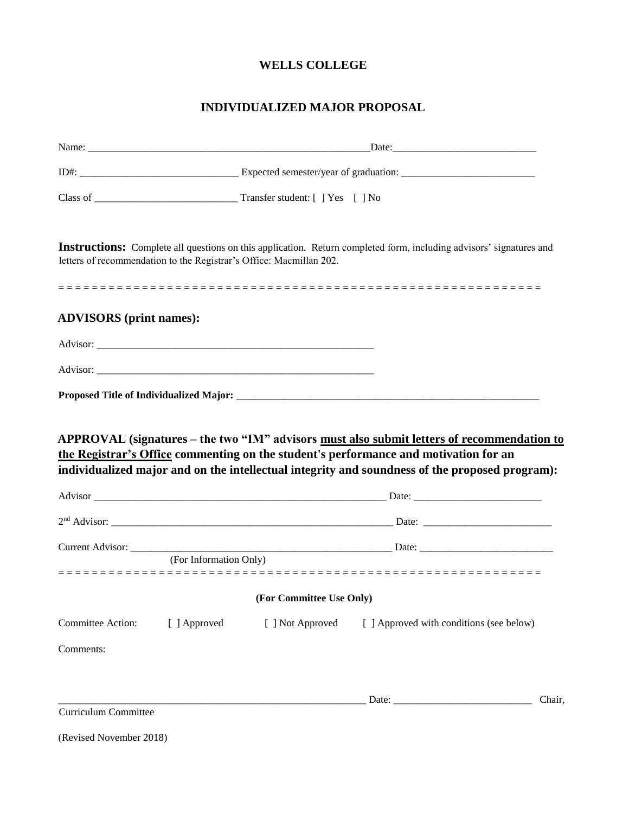# **WELLS COLLEGE**

# **INDIVIDUALIZED MAJOR PROPOSAL**

|                                |                        | letters of recommendation to the Registrar's Office: Macmillan 202. | Instructions: Complete all questions on this application. Return completed form, including advisors' signatures and                                                                    |        |  |  |  |
|--------------------------------|------------------------|---------------------------------------------------------------------|----------------------------------------------------------------------------------------------------------------------------------------------------------------------------------------|--------|--|--|--|
| <b>ADVISORS</b> (print names): |                        |                                                                     |                                                                                                                                                                                        |        |  |  |  |
|                                |                        |                                                                     |                                                                                                                                                                                        |        |  |  |  |
|                                |                        |                                                                     |                                                                                                                                                                                        |        |  |  |  |
|                                |                        |                                                                     |                                                                                                                                                                                        |        |  |  |  |
|                                |                        |                                                                     | the Registrar's Office commenting on the student's performance and motivation for an<br>individualized major and on the intellectual integrity and soundness of the proposed program): |        |  |  |  |
|                                |                        |                                                                     |                                                                                                                                                                                        |        |  |  |  |
|                                |                        |                                                                     |                                                                                                                                                                                        |        |  |  |  |
|                                | (For Information Only) |                                                                     |                                                                                                                                                                                        |        |  |  |  |
|                                |                        | (For Committee Use Only)                                            |                                                                                                                                                                                        |        |  |  |  |
| Committee Action:              | [ ] Approved           | [ ] Not Approved                                                    | [ ] Approved with conditions (see below)                                                                                                                                               |        |  |  |  |
| Comments:                      |                        |                                                                     |                                                                                                                                                                                        |        |  |  |  |
|                                |                        |                                                                     |                                                                                                                                                                                        |        |  |  |  |
|                                |                        |                                                                     |                                                                                                                                                                                        | Chair, |  |  |  |
| Curriculum Committee           |                        |                                                                     |                                                                                                                                                                                        |        |  |  |  |
| (Revised November 2018)        |                        |                                                                     |                                                                                                                                                                                        |        |  |  |  |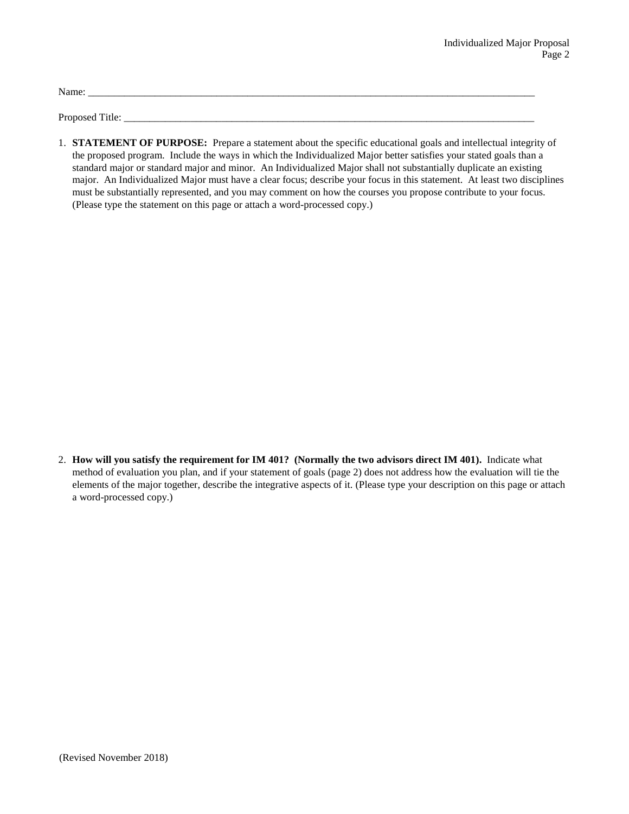Name: \_\_\_\_\_\_\_\_\_\_\_\_\_\_\_\_\_\_\_\_\_\_\_\_\_\_\_\_\_\_\_\_\_\_\_\_\_\_\_\_\_\_\_\_\_\_\_\_\_\_\_\_\_\_\_\_\_\_\_\_\_\_\_\_\_\_\_\_\_\_\_\_\_\_\_\_\_\_\_\_\_\_\_\_\_\_\_

Proposed Title:

1. **STATEMENT OF PURPOSE:** Prepare a statement about the specific educational goals and intellectual integrity of the proposed program. Include the ways in which the Individualized Major better satisfies your stated goals than a standard major or standard major and minor. An Individualized Major shall not substantially duplicate an existing major. An Individualized Major must have a clear focus; describe your focus in this statement. At least two disciplines must be substantially represented, and you may comment on how the courses you propose contribute to your focus. (Please type the statement on this page or attach a word-processed copy.)

2. **How will you satisfy the requirement for IM 401? (Normally the two advisors direct IM 401).** Indicate what method of evaluation you plan, and if your statement of goals (page 2) does not address how the evaluation will tie the elements of the major together, describe the integrative aspects of it. (Please type your description on this page or attach a word-processed copy.)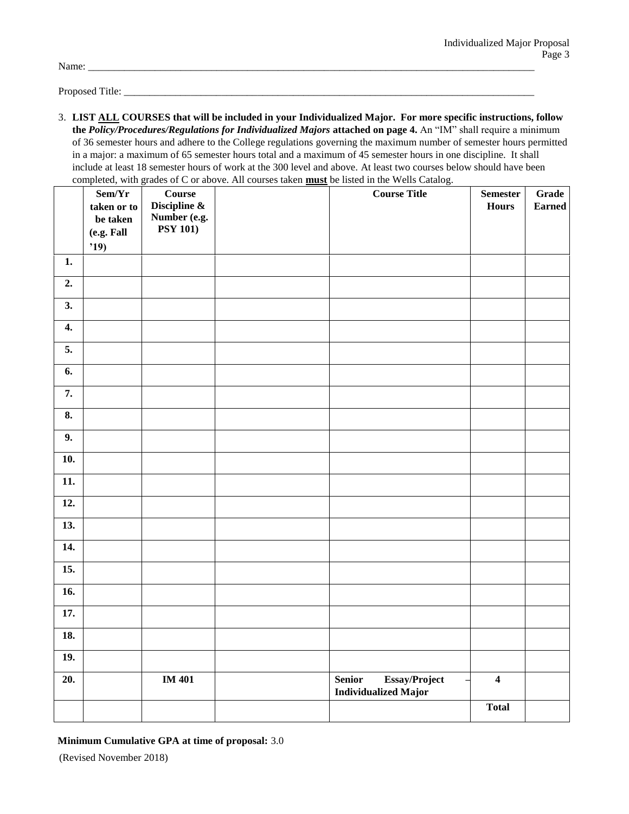Name: \_\_\_\_\_\_\_\_\_\_\_\_\_\_\_\_\_\_\_\_\_\_\_\_\_\_\_\_\_\_\_\_\_\_\_\_\_\_\_\_\_\_\_\_\_\_\_\_\_\_\_\_\_\_\_\_\_\_\_\_\_\_\_\_\_\_\_\_\_\_\_\_\_\_\_\_\_\_\_\_\_\_\_\_\_\_\_

Proposed Title: \_\_\_\_\_\_\_\_\_\_\_\_\_\_\_\_\_\_\_\_\_\_\_\_\_\_\_\_\_\_\_\_\_\_\_\_\_\_\_\_\_\_\_\_\_\_\_\_\_\_\_\_\_\_\_\_\_\_\_\_\_\_\_\_\_\_\_\_\_\_\_\_\_\_\_\_\_\_\_\_

3. **LIST ALL COURSES that will be included in your Individualized Major. For more specific instructions, follow the** *Policy/Procedures/Regulations for Individualized Majors* **attached on page 4.** An "IM" shall require a minimum of 36 semester hours and adhere to the College regulations governing the maximum number of semester hours permitted in a major: a maximum of 65 semester hours total and a maximum of 45 semester hours in one discipline. It shall include at least 18 semester hours of work at the 300 level and above. At least two courses below should have been completed, with grades of C or above. All courses taken **must** be listed in the Wells Catalog.

|                    | Sem/Yr                 | $\bf Course$                    | completed, while grades of C or above. The courses taken <b>must</b> be fisted in the wens catalog.<br><b>Course Title</b> | <b>Semester</b>         | Grade         |
|--------------------|------------------------|---------------------------------|----------------------------------------------------------------------------------------------------------------------------|-------------------------|---------------|
|                    | taken or to            | Discipline $\&$<br>Number (e.g. |                                                                                                                            | <b>Hours</b>            | <b>Earned</b> |
|                    | be taken<br>(e.g. Fall | <b>PSY 101)</b>                 |                                                                                                                            |                         |               |
|                    | '19)                   |                                 |                                                                                                                            |                         |               |
| 1.                 |                        |                                 |                                                                                                                            |                         |               |
| 2.                 |                        |                                 |                                                                                                                            |                         |               |
| 3.                 |                        |                                 |                                                                                                                            |                         |               |
| $\boldsymbol{4}$ . |                        |                                 |                                                                                                                            |                         |               |
| 5.                 |                        |                                 |                                                                                                                            |                         |               |
| 6.                 |                        |                                 |                                                                                                                            |                         |               |
| 7.                 |                        |                                 |                                                                                                                            |                         |               |
| 8.                 |                        |                                 |                                                                                                                            |                         |               |
| 9.                 |                        |                                 |                                                                                                                            |                         |               |
| 10.                |                        |                                 |                                                                                                                            |                         |               |
| 11.                |                        |                                 |                                                                                                                            |                         |               |
| 12.                |                        |                                 |                                                                                                                            |                         |               |
| 13.                |                        |                                 |                                                                                                                            |                         |               |
| 14.                |                        |                                 |                                                                                                                            |                         |               |
| 15.                |                        |                                 |                                                                                                                            |                         |               |
| 16.                |                        |                                 |                                                                                                                            |                         |               |
| 17.                |                        |                                 |                                                                                                                            |                         |               |
| 18.                |                        |                                 |                                                                                                                            |                         |               |
| 19.                |                        |                                 |                                                                                                                            |                         |               |
| 20.                |                        | <b>IM 401</b>                   | Essay/Project<br><b>Senior</b><br><b>Individualized Major</b>                                                              | $\overline{\mathbf{4}}$ |               |
|                    |                        |                                 |                                                                                                                            | <b>Total</b>            |               |
|                    |                        |                                 |                                                                                                                            |                         |               |

**Minimum Cumulative GPA at time of proposal:** 3.0

(Revised November 2018)